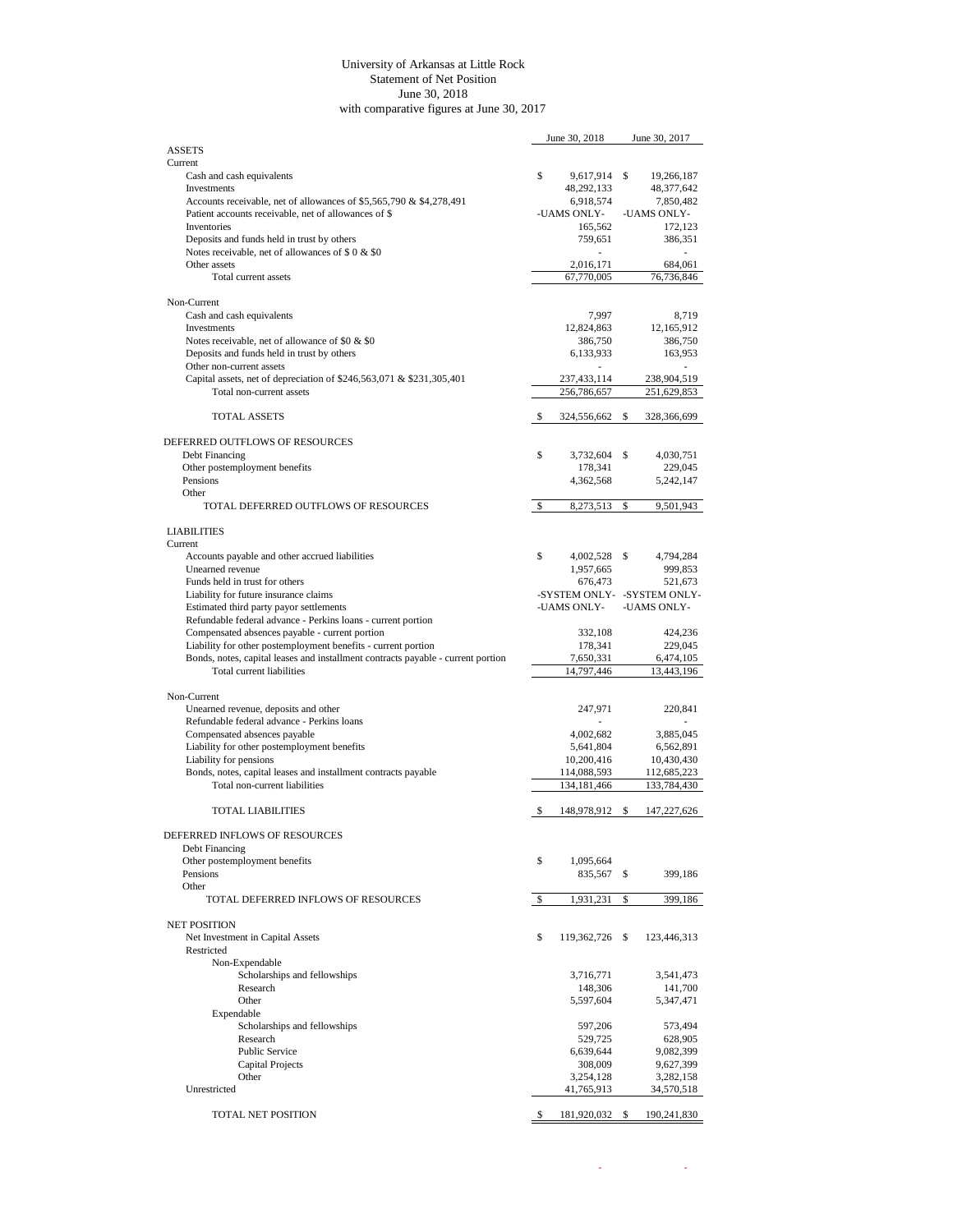## University of Arkansas at Little Rock Statement of Net Position June 30, 2018 with comparative figures at June 30, 2017

|                                                                                                               |    | June 30, 2018           | June 30, 2017                  |
|---------------------------------------------------------------------------------------------------------------|----|-------------------------|--------------------------------|
| <b>ASSETS</b>                                                                                                 |    |                         |                                |
| Current                                                                                                       |    |                         |                                |
| Cash and cash equivalents<br>Investments                                                                      | \$ | 9,617,914<br>48,292,133 | \$<br>19,266,187<br>48,377,642 |
| Accounts receivable, net of allowances of \$5,565,790 & \$4,278,491                                           |    | 6,918,574               | 7,850,482                      |
| Patient accounts receivable, net of allowances of \$                                                          |    | -UAMS ONLY-             | -UAMS ONLY-                    |
| Inventories                                                                                                   |    | 165,562                 | 172,123                        |
| Deposits and funds held in trust by others                                                                    |    | 759,651                 | 386,351                        |
| Notes receivable, net of allowances of \$ 0 & \$0                                                             |    |                         | ä,                             |
| Other assets                                                                                                  |    | 2,016,171               | 684,061                        |
| Total current assets                                                                                          |    | 67,770,005              | 76,736,846                     |
|                                                                                                               |    |                         |                                |
| Non-Current                                                                                                   |    |                         |                                |
| Cash and cash equivalents                                                                                     |    | 7,997                   | 8.719                          |
| Investments                                                                                                   |    | 12,824,863              | 12,165,912                     |
| Notes receivable, net of allowance of \$0 & \$0                                                               |    | 386,750                 | 386,750                        |
| Deposits and funds held in trust by others                                                                    |    | 6,133,933               | 163,953                        |
| Other non-current assets                                                                                      |    |                         |                                |
| Capital assets, net of depreciation of \$246,563,071 & \$231,305,401                                          |    | 237,433,114             | 238,904,519                    |
| Total non-current assets                                                                                      |    | 256,786,657             | 251,629,853                    |
| <b>TOTAL ASSETS</b>                                                                                           | \$ |                         | \$                             |
|                                                                                                               |    | 324,556,662             | 328,366,699                    |
| DEFERRED OUTFLOWS OF RESOURCES                                                                                |    |                         |                                |
| Debt Financing                                                                                                | \$ | 3,732,604               | \$<br>4,030,751                |
| Other postemployment benefits                                                                                 |    | 178,341                 | 229,045                        |
| Pensions                                                                                                      |    | 4,362,568               | 5,242,147                      |
| Other                                                                                                         |    |                         |                                |
| TOTAL DEFERRED OUTFLOWS OF RESOURCES                                                                          | \$ | 8,273,513               | \$<br>9,501,943                |
|                                                                                                               |    |                         |                                |
| <b>LIABILITIES</b>                                                                                            |    |                         |                                |
| Current                                                                                                       |    |                         |                                |
| Accounts payable and other accrued liabilities                                                                | \$ | 4,002,528               | \$<br>4,794,284                |
| Unearned revenue                                                                                              |    | 1,957,665               | 999,853                        |
| Funds held in trust for others                                                                                |    | 676,473                 | 521,673                        |
| Liability for future insurance claims                                                                         |    |                         | -SYSTEM ONLY- -SYSTEM ONLY-    |
| Estimated third party payor settlements                                                                       |    | -UAMS ONLY-             | -UAMS ONLY-                    |
| Refundable federal advance - Perkins loans - current portion                                                  |    |                         |                                |
| Compensated absences payable - current portion                                                                |    | 332,108                 | 424,236                        |
| Liability for other postemployment benefits - current portion                                                 |    | 178,341                 | 229,045                        |
| Bonds, notes, capital leases and installment contracts payable - current portion<br>Total current liabilities |    | 7,650,331               | 6,474,105                      |
|                                                                                                               |    | 14,797,446              | 13,443,196                     |
| Non-Current                                                                                                   |    |                         |                                |
| Unearned revenue, deposits and other                                                                          |    | 247,971                 | 220,841                        |
| Refundable federal advance - Perkins loans                                                                    |    |                         |                                |
| Compensated absences payable                                                                                  |    | 4,002,682               | 3,885,045                      |
| Liability for other postemployment benefits                                                                   |    | 5,641,804               | 6,562,891                      |
| Liability for pensions                                                                                        |    | 10,200,416              | 10,430,430                     |
| Bonds, notes, capital leases and installment contracts payable                                                |    | 114,088,593             | 112,685,223                    |
| Total non-current liabilities                                                                                 |    | 134, 181, 466           | 133,784,430                    |
|                                                                                                               |    |                         |                                |
| <b>TOTAL LIABILITIES</b>                                                                                      | S, | 148,978,912 \$          | 147,227,626                    |
|                                                                                                               |    |                         |                                |
| DEFERRED INFLOWS OF RESOURCES                                                                                 |    |                         |                                |
| Debt Financing                                                                                                |    |                         |                                |
| Other postemployment benefits                                                                                 | \$ | 1,095,664               |                                |
| Pensions                                                                                                      |    | 835,567                 | \$<br>399,186                  |
| Other<br>TOTAL DEFERRED INFLOWS OF RESOURCES                                                                  |    |                         |                                |
|                                                                                                               | \$ | 1,931,231               | \$<br>399,186                  |
| <b>NET POSITION</b>                                                                                           |    |                         |                                |
| Net Investment in Capital Assets                                                                              | \$ | 119,362,726             | \$<br>123,446,313              |
| Restricted                                                                                                    |    |                         |                                |
| Non-Expendable                                                                                                |    |                         |                                |
| Scholarships and fellowships                                                                                  |    | 3,716,771               | 3,541,473                      |
| Research                                                                                                      |    | 148,306                 | 141,700                        |
| Other                                                                                                         |    | 5,597,604               | 5,347,471                      |
| Expendable                                                                                                    |    |                         |                                |
| Scholarships and fellowships                                                                                  |    | 597,206                 | 573,494                        |
| Research                                                                                                      |    | 529,725                 | 628,905                        |
| Public Service                                                                                                |    | 6,639,644               | 9,082,399                      |
| Capital Projects                                                                                              |    | 308,009                 | 9,627,399                      |
| Other                                                                                                         |    | 3,254,128               | 3,282,158                      |
| Unrestricted                                                                                                  |    | 41,765,913              | 34,570,518                     |
|                                                                                                               |    |                         |                                |
| TOTAL NET POSITION                                                                                            | S. | 181,920,032 \$          | 190,241,830                    |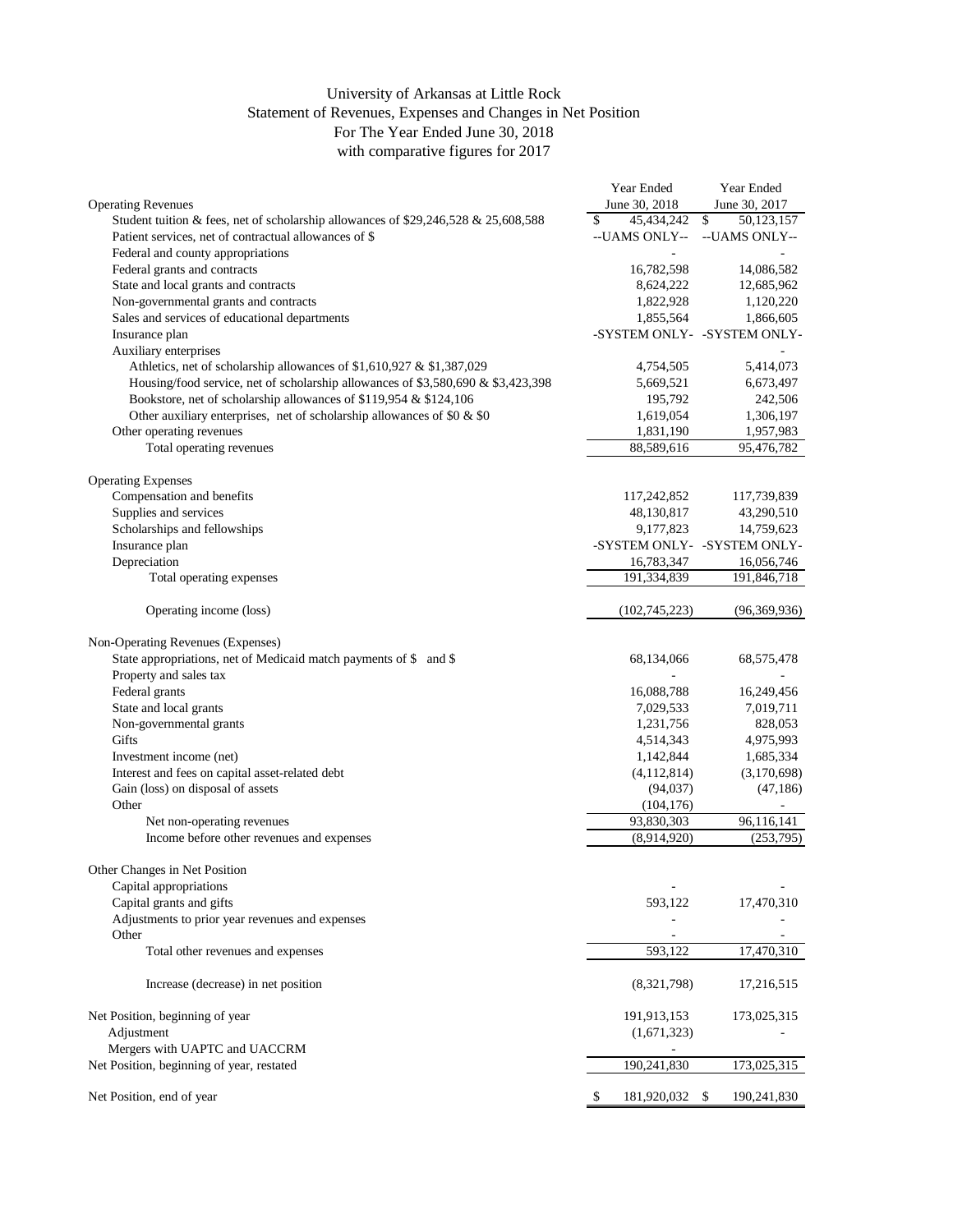## University of Arkansas at Little Rock Statement of Revenues, Expenses and Changes in Net Position For The Year Ended June 30, 2018 with comparative figures for 2017

|                                                                                    | Year Ended        | Year Ended                  |
|------------------------------------------------------------------------------------|-------------------|-----------------------------|
| <b>Operating Revenues</b>                                                          | June 30, 2018     | June 30, 2017               |
| Student tuition & fees, net of scholarship allowances of \$29,246,528 & 25,608,588 | \$<br>45,434,242  | $\mathbb{S}$<br>50,123,157  |
| Patient services, net of contractual allowances of \$                              | --UAMS ONLY--     | --UAMS ONLY--               |
| Federal and county appropriations                                                  |                   |                             |
| Federal grants and contracts                                                       | 16,782,598        | 14,086,582                  |
| State and local grants and contracts                                               | 8,624,222         | 12,685,962                  |
| Non-governmental grants and contracts                                              | 1,822,928         | 1,120,220                   |
| Sales and services of educational departments                                      | 1,855,564         | 1,866,605                   |
| Insurance plan                                                                     |                   | -SYSTEM ONLY- -SYSTEM ONLY- |
| Auxiliary enterprises                                                              |                   |                             |
| Athletics, net of scholarship allowances of \$1,610,927 & \$1,387,029              | 4,754,505         | 5,414,073                   |
| Housing/food service, net of scholarship allowances of \$3,580,690 & \$3,423,398   | 5,669,521         | 6,673,497                   |
| Bookstore, net of scholarship allowances of \$119,954 & \$124,106                  | 195,792           | 242,506                     |
| Other auxiliary enterprises, net of scholarship allowances of \$0 $\&$ \$0         | 1,619,054         | 1,306,197                   |
| Other operating revenues                                                           | 1,831,190         | 1,957,983                   |
| Total operating revenues                                                           | 88,589,616        | 95,476,782                  |
| <b>Operating Expenses</b>                                                          |                   |                             |
| Compensation and benefits                                                          | 117,242,852       | 117,739,839                 |
| Supplies and services                                                              | 48,130,817        | 43,290,510                  |
| Scholarships and fellowships                                                       | 9,177,823         | 14,759,623                  |
| Insurance plan                                                                     |                   | -SYSTEM ONLY- -SYSTEM ONLY- |
| Depreciation                                                                       | 16,783,347        | 16,056,746                  |
| Total operating expenses                                                           | 191,334,839       | 191,846,718                 |
|                                                                                    |                   |                             |
| Operating income (loss)                                                            | (102, 745, 223)   | (96,369,936)                |
| Non-Operating Revenues (Expenses)                                                  |                   |                             |
| State appropriations, net of Medicaid match payments of \$ and \$                  | 68,134,066        | 68,575,478                  |
| Property and sales tax                                                             |                   |                             |
| Federal grants                                                                     | 16,088,788        | 16,249,456                  |
| State and local grants                                                             | 7,029,533         | 7,019,711                   |
| Non-governmental grants                                                            | 1,231,756         | 828,053                     |
| Gifts                                                                              | 4,514,343         | 4,975,993                   |
| Investment income (net)                                                            | 1,142,844         | 1,685,334                   |
| Interest and fees on capital asset-related debt                                    | (4,112,814)       | (3,170,698)                 |
| Gain (loss) on disposal of assets                                                  | (94, 037)         | (47, 186)                   |
| Other                                                                              | (104, 176)        |                             |
| Net non-operating revenues                                                         | 93,830,303        | 96,116,141                  |
| Income before other revenues and expenses                                          | (8,914,920)       | (253, 795)                  |
|                                                                                    |                   |                             |
| Other Changes in Net Position                                                      |                   |                             |
| Capital appropriations                                                             |                   |                             |
| Capital grants and gifts                                                           | 593,122           | 17,470,310                  |
| Adjustments to prior year revenues and expenses                                    |                   |                             |
| Other                                                                              |                   |                             |
| Total other revenues and expenses                                                  | 593,122           | 17,470,310                  |
| Increase (decrease) in net position                                                | (8,321,798)       | 17,216,515                  |
|                                                                                    |                   |                             |
| Net Position, beginning of year                                                    | 191,913,153       | 173,025,315                 |
| Adjustment                                                                         | (1,671,323)       |                             |
| Mergers with UAPTC and UACCRM                                                      |                   |                             |
| Net Position, beginning of year, restated                                          | 190,241,830       | 173,025,315                 |
| Net Position, end of year                                                          | 181,920,032<br>\$ | \$<br>190,241,830           |
|                                                                                    |                   |                             |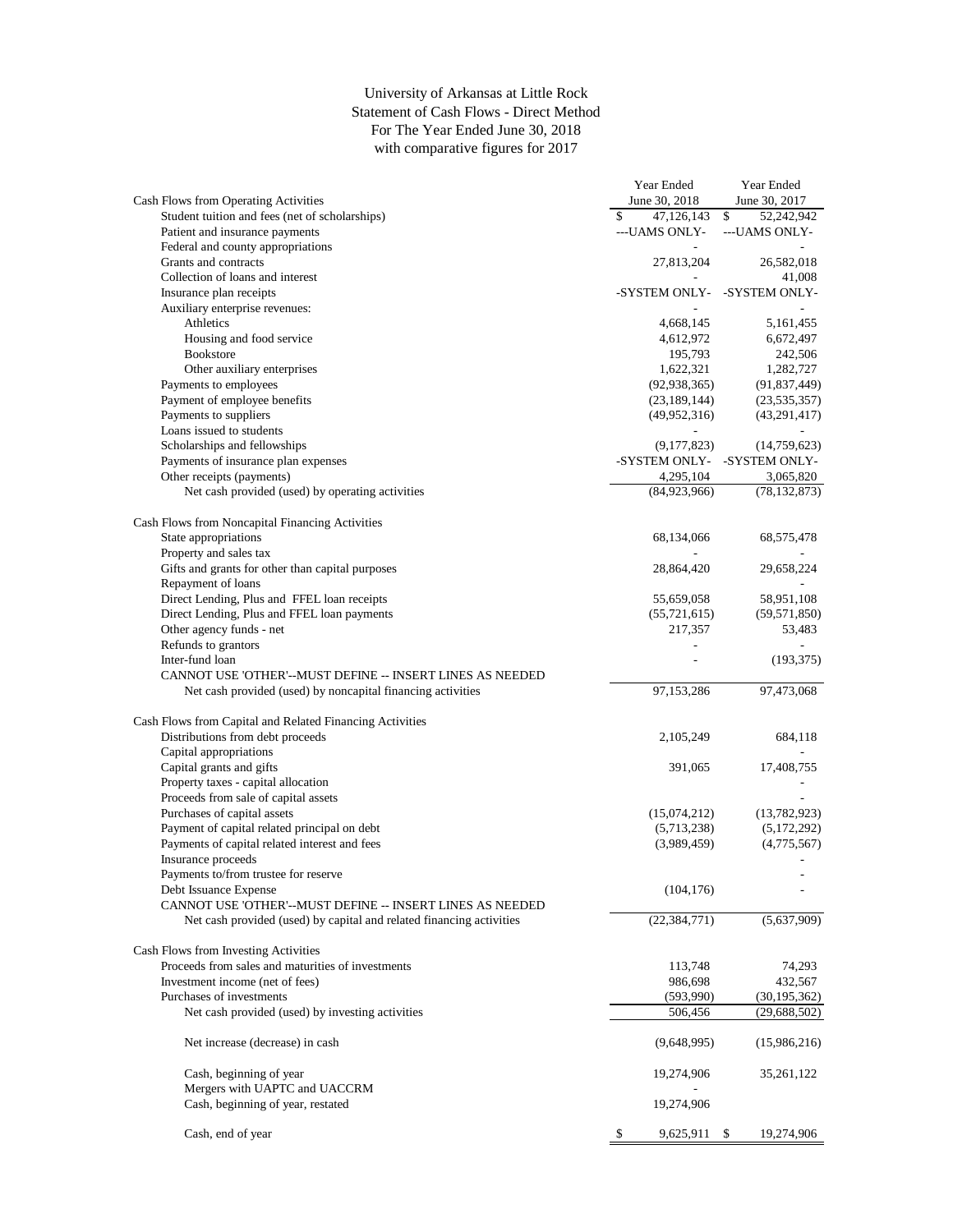## University of Arkansas at Little Rock Statement of Cash Flows - Direct Method For The Year Ended June 30, 2018 with comparative figures for 2017

|                                                                      | Year Ended         | Year Ended       |
|----------------------------------------------------------------------|--------------------|------------------|
| Cash Flows from Operating Activities                                 | June 30, 2018      | June 30, 2017    |
| Student tuition and fees (net of scholarships)                       | 47,126,143<br>\$   | \$<br>52,242,942 |
| Patient and insurance payments                                       | ---UAMS ONLY-      | ---UAMS ONLY-    |
| Federal and county appropriations                                    |                    |                  |
| Grants and contracts                                                 | 27,813,204         | 26,582,018       |
| Collection of loans and interest                                     |                    | 41,008           |
| Insurance plan receipts                                              | -SYSTEM ONLY-      | -SYSTEM ONLY-    |
|                                                                      |                    |                  |
| Auxiliary enterprise revenues:                                       |                    |                  |
| Athletics                                                            | 4,668,145          | 5,161,455        |
| Housing and food service                                             | 4,612,972          | 6,672,497        |
| <b>Bookstore</b>                                                     | 195,793            | 242,506          |
| Other auxiliary enterprises                                          | 1,622,321          | 1,282,727        |
| Payments to employees                                                | (92, 938, 365)     | (91, 837, 449)   |
| Payment of employee benefits                                         | (23, 189, 144)     | (23, 535, 357)   |
| Payments to suppliers                                                | (49, 952, 316)     | (43,291,417)     |
| Loans issued to students                                             |                    |                  |
| Scholarships and fellowships                                         | (9,177,823)        | (14,759,623)     |
| Payments of insurance plan expenses                                  | -SYSTEM ONLY-      | -SYSTEM ONLY-    |
| Other receipts (payments)                                            | 4,295,104          | 3,065,820        |
| Net cash provided (used) by operating activities                     | (84,923,966)       | (78, 132, 873)   |
|                                                                      |                    |                  |
|                                                                      |                    |                  |
| Cash Flows from Noncapital Financing Activities                      |                    |                  |
| State appropriations                                                 | 68,134,066         | 68,575,478       |
| Property and sales tax                                               |                    |                  |
| Gifts and grants for other than capital purposes                     | 28,864,420         | 29,658,224       |
| Repayment of loans                                                   |                    |                  |
| Direct Lending, Plus and FFEL loan receipts                          | 55,659,058         | 58,951,108       |
| Direct Lending, Plus and FFEL loan payments                          | (55, 721, 615)     | (59, 571, 850)   |
| Other agency funds - net                                             | 217,357            | 53,483           |
| Refunds to grantors                                                  |                    |                  |
| Inter-fund loan                                                      |                    | (193, 375)       |
| CANNOT USE 'OTHER'--MUST DEFINE -- INSERT LINES AS NEEDED            |                    |                  |
|                                                                      |                    |                  |
| Net cash provided (used) by noncapital financing activities          | 97,153,286         | 97,473,068       |
|                                                                      |                    |                  |
| Cash Flows from Capital and Related Financing Activities             |                    |                  |
| Distributions from debt proceeds                                     | 2,105,249          | 684,118          |
| Capital appropriations                                               |                    |                  |
| Capital grants and gifts                                             | 391,065            | 17,408,755       |
| Property taxes - capital allocation                                  |                    |                  |
| Proceeds from sale of capital assets                                 |                    |                  |
| Purchases of capital assets                                          | (15,074,212)       | (13,782,923)     |
| Payment of capital related principal on debt                         | (5,713,238)        | (5,172,292)      |
| Payments of capital related interest and fees                        | (3,989,459)        | (4,775,567)      |
| Insurance proceeds                                                   |                    |                  |
| Payments to/from trustee for reserve                                 |                    |                  |
|                                                                      |                    |                  |
| Debt Issuance Expense                                                | (104, 176)         |                  |
| CANNOT USE 'OTHER'--MUST DEFINE -- INSERT LINES AS NEEDED            |                    |                  |
| Net cash provided (used) by capital and related financing activities | (22, 384, 771)     | (5,637,909)      |
|                                                                      |                    |                  |
| Cash Flows from Investing Activities                                 |                    |                  |
| Proceeds from sales and maturities of investments                    | 113,748            | 74,293           |
| Investment income (net of fees)                                      | 986,698            | 432,567          |
| Purchases of investments                                             | (593,990)          | (30, 195, 362)   |
| Net cash provided (used) by investing activities                     | 506,456            | (29, 688, 502)   |
|                                                                      |                    |                  |
| Net increase (decrease) in cash                                      | (9,648,995)        | (15,986,216)     |
|                                                                      |                    |                  |
|                                                                      |                    |                  |
| Cash, beginning of year                                              | 19,274,906         | 35,261,122       |
| Mergers with UAPTC and UACCRM                                        |                    |                  |
| Cash, beginning of year, restated                                    | 19,274,906         |                  |
|                                                                      |                    |                  |
| Cash, end of year                                                    | \$<br>9,625,911 \$ | 19,274,906       |